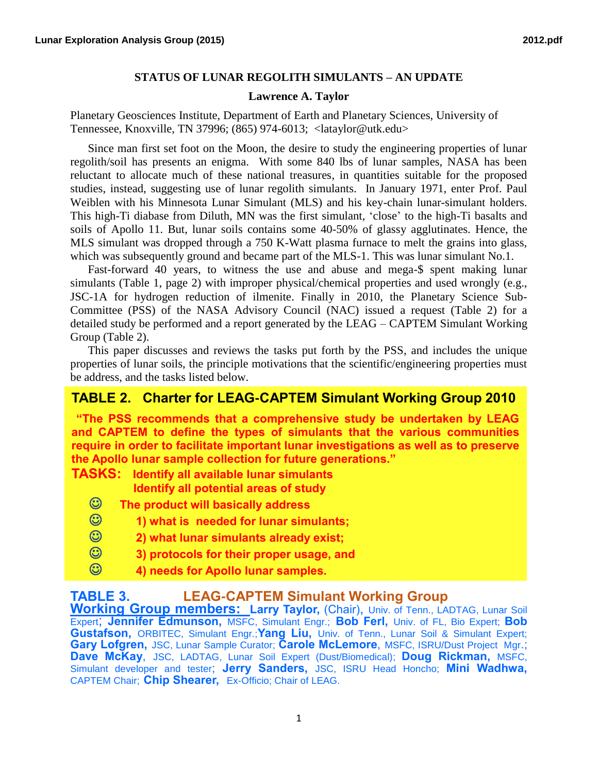## **STATUS OF LUNAR REGOLITH SIMULANTS – AN UPDATE**

## **Lawrence A. Taylor**

Planetary Geosciences Institute, Department of Earth and Planetary Sciences, University of Tennessee, Knoxville, TN 37996; (865) 974-6013; <lataylor@utk.edu>

 Since man first set foot on the Moon, the desire to study the engineering properties of lunar regolith/soil has presents an enigma. With some 840 lbs of lunar samples, NASA has been reluctant to allocate much of these national treasures, in quantities suitable for the proposed studies, instead, suggesting use of lunar regolith simulants. In January 1971, enter Prof. Paul Weiblen with his Minnesota Lunar Simulant (MLS) and his key-chain lunar-simulant holders. This high-Ti diabase from Diluth, MN was the first simulant, 'close' to the high-Ti basalts and soils of Apollo 11. But, lunar soils contains some 40-50% of glassy agglutinates. Hence, the MLS simulant was dropped through a 750 K-Watt plasma furnace to melt the grains into glass, which was subsequently ground and became part of the MLS-1. This was lunar simulant No.1.

 Fast-forward 40 years, to witness the use and abuse and mega-\$ spent making lunar simulants (Table 1, page 2) with improper physical/chemical properties and used wrongly (e.g., JSC-1A for hydrogen reduction of ilmenite. Finally in 2010, the Planetary Science Sub-Committee (PSS) of the NASA Advisory Council (NAC) issued a request (Table 2) for a detailed study be performed and a report generated by the LEAG – CAPTEM Simulant Working Group (Table 2).

 This paper discusses and reviews the tasks put forth by the PSS, and includes the unique properties of lunar soils, the principle motivations that the scientific/engineering properties must be address, and the tasks listed below.

## **TABLE 2. Charter for LEAG-CAPTEM Simulant Working Group 2010**

**"The PSS recommends that a comprehensive study be undertaken by LEAG and CAPTEM to define the types of simulants that the various communities require in order to facilitate important lunar investigations as well as to preserve the Apollo lunar sample collection for future generations."**

**TASKS: Identify all available lunar simulants Identify all potential areas of study**

- **The product will basically address**
- **1) what is needed for lunar simulants;**
- **2) what lunar simulants already exist;**
- **3) protocols for their proper usage, and**
- **4) needs for Apollo lunar samples.**

## **TABLE 3. LEAG-CAPTEM Simulant Working Group**

**Working Group members: Larry Taylor,** (Chair), Univ. of Tenn., LADTAG, Lunar Soil Expert; **Jennifer Edmunson,** MSFC, Simulant Engr.; **Bob Ferl,** Univ. of FL, Bio Expert; **Bob Gustafson,** ORBITEC, Simulant Engr.;**Yang Liu,** Univ. of Tenn., Lunar Soil & Simulant Expert; **Gary Lofgren,** JSC, Lunar Sample Curator; **Carole McLemore**, MSFC, ISRU/Dust Project Mgr.; **Dave McKay**, JSC, LADTAG, Lunar Soil Expert (Dust/Biomedical); **Doug Rickman,** MSFC, Simulant developer and tester; **Jerry Sanders,** JSC, ISRU Head Honcho; **Mini Wadhwa,** CAPTEM Chair; **Chip Shearer,** Ex-Officio; Chair of LEAG.